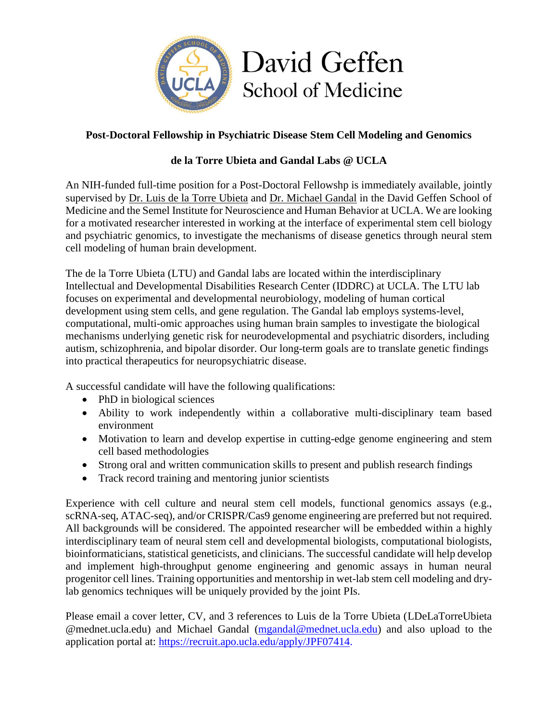

## **Post-Doctoral Fellowship in Psychiatric Disease Stem Cell Modeling and Genomics**

## **de la Torre Ubieta and Gandal Labs @ UCLA**

An NIH-funded full-time position for a Post-Doctoral Fellowshp is immediately available, jointly supervised by [Dr. Luis de la Torre Ubieta](https://labs.dgsom.ucla.edu/torre-ubieta/pages/research) and [Dr. Michael Gandal](https://gandallab.dgsom.ucla.edu/pages/) in the David Geffen School of Medicine and the Semel Institute for Neuroscience and Human Behavior at UCLA. We are looking for a motivated researcher interested in working at the interface of experimental stem cell biology and psychiatric genomics, to investigate the mechanisms of disease genetics through neural stem cell modeling of human brain development.

The de la Torre Ubieta (LTU) and Gandal labs are located within the interdisciplinary Intellectual and Developmental Disabilities Research Center (IDDRC) at UCLA. The LTU lab focuses on experimental and developmental neurobiology, modeling of human cortical development using stem cells, and gene regulation. The Gandal lab employs systems-level, computational, multi-omic approaches using human brain samples to investigate the biological mechanisms underlying genetic risk for neurodevelopmental and psychiatric disorders, including autism, schizophrenia, and bipolar disorder. Our long-term goals are to translate genetic findings into practical therapeutics for neuropsychiatric disease.

A successful candidate will have the following qualifications:

- PhD in biological sciences
- Ability to work independently within a collaborative multi-disciplinary team based environment
- Motivation to learn and develop expertise in cutting-edge genome engineering and stem cell based methodologies
- Strong oral and written communication skills to present and publish research findings
- Track record training and mentoring junior scientists

Experience with cell culture and neural stem cell models, functional genomics assays (e.g., scRNA-seq, ATAC-seq), and/or CRISPR/Cas9 genome engineering are preferred but not required. All backgrounds will be considered. The appointed researcher will be embedded within a highly interdisciplinary team of neural stem cell and developmental biologists, computational biologists, bioinformaticians, statistical geneticists, and clinicians. The successful candidate will help develop and implement high-throughput genome engineering and genomic assays in human neural progenitor cell lines. Training opportunities and mentorship in wet-lab stem cell modeling and drylab genomics techniques will be uniquely provided by the joint PIs.

Please email a cover letter, CV, and 3 references to Luis de la Torre Ubieta (LDeLaTorreUbieta @mednet.ucla.edu) and Michael Gandal [\(mgandal@mednet.ucla.edu\)](mailto:mgandal@mednet.ucla.edu) and also upload to the application portal at: https://recruit.apo.ucla.edu/apply/JPF07414.